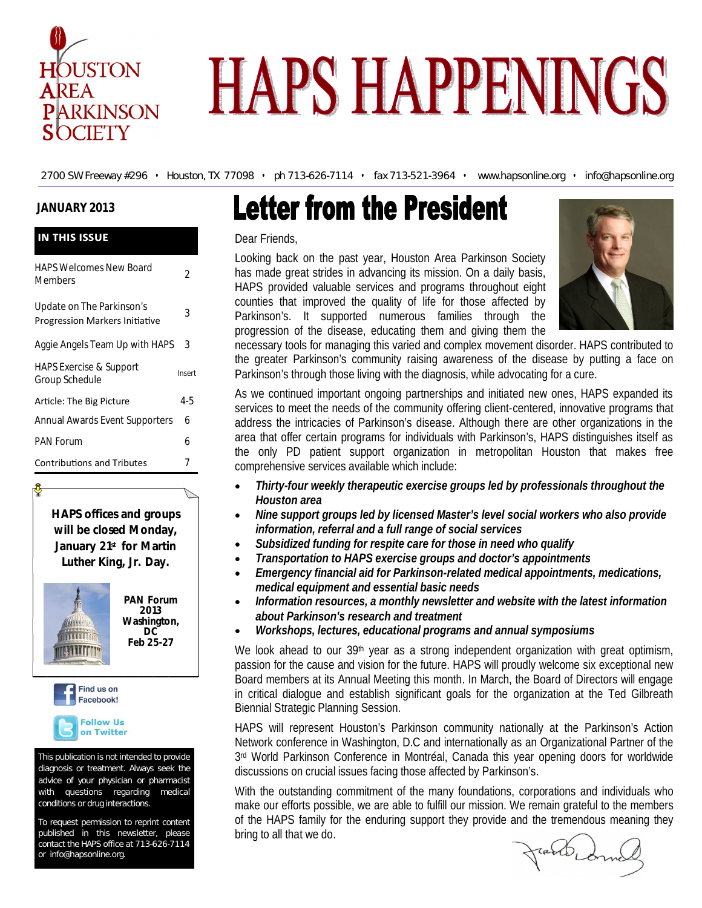

# **HAPS HAPPENINGS**

2700 SW Freeway #296 • Houston, TX 77098 • ph 713-626-7114 • fax 713-521-3964 • www.hapsonline.org • info@hapsonline.org

#### **JANUARY 2013**

| <b>IN THIS ISSUE</b>                                               |        |  |
|--------------------------------------------------------------------|--------|--|
| <b>HAPS Welcomes New Board</b><br>Members                          | 2      |  |
| Update on The Parkinson's<br><b>Progression Markers Initiative</b> | 3      |  |
| Aggie Angels Team Up with HAPS                                     | 3      |  |
| <b>HAPS Exercise &amp; Support</b><br>Group Schedule               | Insert |  |
| Article: The Big Picture                                           | 4-5    |  |
| <b>Annual Awards Event Supporters</b>                              | 6      |  |
| <b>PAN Forum</b>                                                   | 6      |  |
| <b>Contributions and Tributes</b>                                  |        |  |

**HAPS offices and groups will be closed Monday, January 21st for Martin Luther King, Jr. Day.** 



**PAN Forum 2013 Washington, DC Feb 25-27**

Find us on Facebook! **Follow Us** on Twitter

This publication is not intended to provide diagnosis or treatment. Always seek the advice of your physician or pharmacist with questions regarding medical conditions or drug interactions.

To request permission to reprint content published in this newsletter, please contact the HAPS office at 713-626-7114 or info@hapsonline.org.

# **Letter from the President**

#### Dear Friends,

Looking back on the past year, Houston Area Parkinson Society has made great strides in advancing its mission. On a daily basis, HAPS provided valuable services and programs throughout eight counties that improved the quality of life for those affected by Parkinson's. It supported numerous families through the progression of the disease, educating them and giving them the



necessary tools for managing this varied and complex movement disorder. HAPS contributed to the greater Parkinson's community raising awareness of the disease by putting a face on Parkinson's through those living with the diagnosis, while advocating for a cure.

As we continued important ongoing partnerships and initiated new ones, HAPS expanded its services to meet the needs of the community offering client-centered, innovative programs that address the intricacies of Parkinson's disease. Although there are other organizations in the area that offer certain programs for individuals with Parkinson's, HAPS distinguishes itself as the only PD patient support organization in metropolitan Houston that makes free comprehensive services available which include:

- *Thirty-four weekly therapeutic exercise groups led by professionals throughout the Houston area*
- *Nine support groups led by licensed Master's level social workers who also provide information, referral and a full range of social services*
- *Subsidized funding for respite care for those in need who qualify*
- *Transportation to HAPS exercise groups and doctor's appointments*
- *Emergency financial aid for Parkinson-related medical appointments, medications, medical equipment and essential basic needs*
- *Information resources, a monthly newsletter and website with the latest information about Parkinson's research and treatment*
- *Workshops, lectures, educational programs and annual symposiums*

We look ahead to our  $39<sup>th</sup>$  year as a strong independent organization with great optimism, passion for the cause and vision for the future. HAPS will proudly welcome six exceptional new Board members at its Annual Meeting this month. In March, the Board of Directors will engage in critical dialogue and establish significant goals for the organization at the Ted Gilbreath Biennial Strategic Planning Session.

HAPS will represent Houston's Parkinson community nationally at the Parkinson's Action Network conference in Washington, D.C and internationally as an Organizational Partner of the 3 rd World Parkinson Conference in Montréal, Canada this year opening doors for worldwide discussions on crucial issues facing those affected by Parkinson's.

With the outstanding commitment of the many foundations, corporations and individuals who make our efforts possible, we are able to fulfill our mission. We remain grateful to the members of the HAPS family for the enduring support they provide and the tremendous meaning they bring to all that we do.

rand com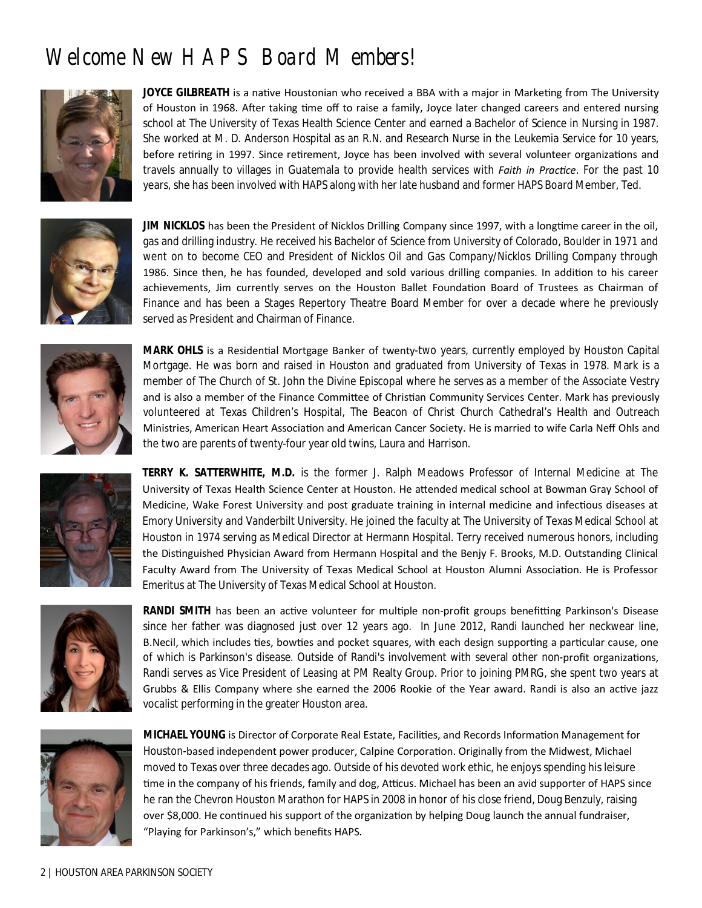## **Welcome New HAPS Board Members!**



**JOYCE GILBREATH** is a native Houstonian who received a BBA with a major in Marketing from The University of Houston in 1968. After taking time off to raise a family, Joyce later changed careers and entered nursing school at The University of Texas Health Science Center and earned a Bachelor of Science in Nursing in 1987. She worked at M. D. Anderson Hospital as an R.N. and Research Nurse in the Leukemia Service for 10 years, before retiring in 1997. Since retirement, Joyce has been involved with several volunteer organizations and travels annually to villages in Guatemala to provide health services with *Faith in Practice*. For the past 10 years, she has been involved with HAPS along with her late husband and former HAPS Board Member, Ted.



**JIM NICKLOS** has been the President of Nicklos Drilling Company since 1997, with a longtime career in the oil, gas and drilling industry. He received his Bachelor of Science from University of Colorado, Boulder in 1971 and went on to become CEO and President of Nicklos Oil and Gas Company/Nicklos Drilling Company through 1986. Since then, he has founded, developed and sold various drilling companies. In addition to his career achievements, Jim currently serves on the Houston Ballet Foundation Board of Trustees as Chairman of Finance and has been a Stages Repertory Theatre Board Member for over a decade where he previously served as President and Chairman of Finance.



**MARK OHLS** is a Residential Mortgage Banker of twenty-two years, currently employed by Houston Capital Mortgage. He was born and raised in Houston and graduated from University of Texas in 1978. Mark is a member of The Church of St. John the Divine Episcopal where he serves as a member of the Associate Vestry and is also a member of the Finance Committee of Christian Community Services Center. Mark has previously volunteered at Texas Children's Hospital, The Beacon of Christ Church Cathedral's Health and Outreach Ministries, American Heart Association and American Cancer Society. He is married to wife Carla Neff Ohls and the two are parents of twenty-four year old twins, Laura and Harrison.



**TERRY K. SATTERWHITE, M.D.** is the former J. Ralph Meadows Professor of Internal Medicine at The University of Texas Health Science Center at Houston. He attended medical school at Bowman Gray School of Medicine, Wake Forest University and post graduate training in internal medicine and infectious diseases at Emory University and Vanderbilt University. He joined the faculty at The University of Texas Medical School at Houston in 1974 serving as Medical Director at Hermann Hospital. Terry received numerous honors, including the Distinguished Physician Award from Hermann Hospital and the Benjy F. Brooks, M.D. Outstanding Clinical Faculty Award from The University of Texas Medical School at Houston Alumni Association. He is Professor Emeritus at The University of Texas Medical School at Houston.



**RANDI SMITH** has been an active volunteer for multiple non-profit groups benefitting Parkinson's Disease since her father was diagnosed just over 12 years ago. In June 2012, Randi launched her neckwear line, B.Necil, which includes ties, bowties and pocket squares, with each design supporting a particular cause, one of which is Parkinson's disease. Outside of Randi's involvement with several other non-profit organizations, Randi serves as Vice President of Leasing at PM Realty Group. Prior to joining PMRG, she spent two years at Grubbs & Ellis Company where she earned the 2006 Rookie of the Year award. Randi is also an active jazz vocalist performing in the greater Houston area.



**MICHAEL YOUNG** is Director of Corporate Real Estate, Facilities, and Records Information Management for Houston-based independent power producer, Calpine Corporation. Originally from the Midwest, Michael moved to Texas over three decades ago. Outside of his devoted work ethic, he enjoys spending his leisure time in the company of his friends, family and dog, Atticus. Michael has been an avid supporter of HAPS since he ran the Chevron Houston Marathon for HAPS in 2008 in honor of his close friend, Doug Benzuly, raising over \$8,000. He continued his support of the organization by helping Doug launch the annual fundraiser, "Playing for Parkinson's," which benefits HAPS.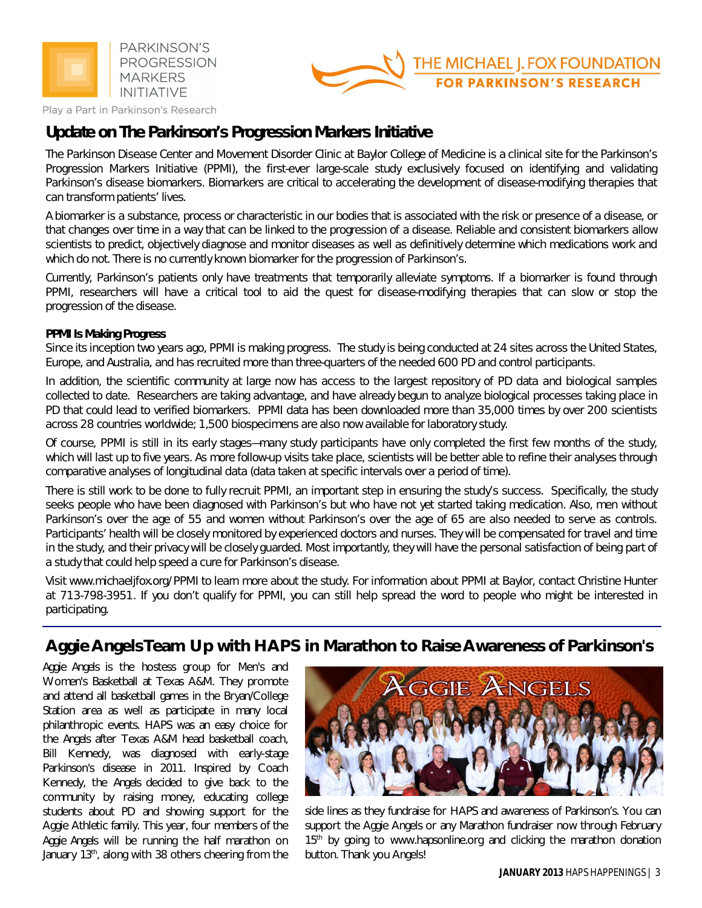



Play a Part in Parkinson's Research

### **Update on The Parkinson's Progression Markers Initiative**

The Parkinson Disease Center and Movement Disorder Clinic at Baylor College of Medicine is a clinical site for the Parkinson's Progression Markers Initiative (PPMI), the first-ever large-scale study exclusively focused on identifying and validating Parkinson's disease biomarkers. Biomarkers are critical to accelerating the development of disease-modifying therapies that can transform patients' lives.

A biomarker is a substance, process or characteristic in our bodies that is associated with the risk or presence of a disease, or that changes over time in a way that can be linked to the progression of a disease. Reliable and consistent biomarkers allow scientists to predict, objectively diagnose and monitor diseases as well as definitively determine which medications work and which do not. There is no currently known biomarker for the progression of Parkinson's.

Currently, Parkinson's patients only have treatments that temporarily alleviate symptoms. If a biomarker is found through PPMI, researchers will have a critical tool to aid the quest for disease-modifying therapies that can slow or stop the progression of the disease.

#### **PPMI Is Making Progress**

Since its inception two years ago, PPMI is making progress. The study is being conducted at 24 sites across the United States, Europe, and Australia, and has recruited more than three-quarters of the needed 600 PD and control participants.

In addition, the scientific community at large now has access to the largest repository of PD data and biological samples collected to date. Researchers are taking advantage, and have already begun to analyze biological processes taking place in PD that could lead to verified biomarkers. PPMI data has been downloaded more than 35,000 times by over 200 scientists across 28 countries worldwide; 1,500 biospecimens are also now available for laboratory study.

Of course, PPMI is still in its early stages—many study participants have only completed the first few months of the study, which will last up to five years. As more follow-up visits take place, scientists will be better able to refine their analyses through comparative analyses of longitudinal data (data taken at specific intervals over a period of time).

There is still work to be done to fully recruit PPMI, an important step in ensuring the study's success. Specifically, the study seeks people who have been diagnosed with Parkinson's but who have not yet started taking medication. Also, men without Parkinson's over the age of 55 and women without Parkinson's over the age of 65 are also needed to serve as controls. Participants' health will be closely monitored by experienced doctors and nurses. They will be compensated for travel and time in the study, and their privacy will be closely guarded. Most importantly, they will have the personal satisfaction of being part of a study that could help speed a cure for Parkinson's disease.

Visit www.michaeljfox.org/PPMI to learn more about the study. For information about PPMI at Baylor, contact Christine Hunter at 713-798-3951. If you don't qualify for PPMI, you can still help spread the word to people who might be interested in participating.

## **Aggie Angels Team Up with HAPS in Marathon to Raise Awareness of Parkinson's**

*Aggie Angels* is the hostess group for Men's and Women's Basketball at Texas A&M. They promote and attend all basketball games in the Bryan/College Station area as well as participate in many local philanthropic events. HAPS was an easy choice for the *Angels* after Texas A&M head basketball coach, Bill Kennedy, was diagnosed with early-stage Parkinson's disease in 2011. Inspired by Coach Kennedy, the *Angels* decided to give back to the community by raising money, educating college students about PD and showing support for the Aggie Athletic family. This year, four members of the *Aggie Angels* will be running the half marathon on January 13<sup>th</sup>, along with 38 others cheering from the



side lines as they fundraise for HAPS and awareness of Parkinson's. You can support the Aggie Angels or any Marathon fundraiser now through February 15<sup>th</sup> by going to www.hapsonline.org and clicking the marathon donation button. Thank you Angels!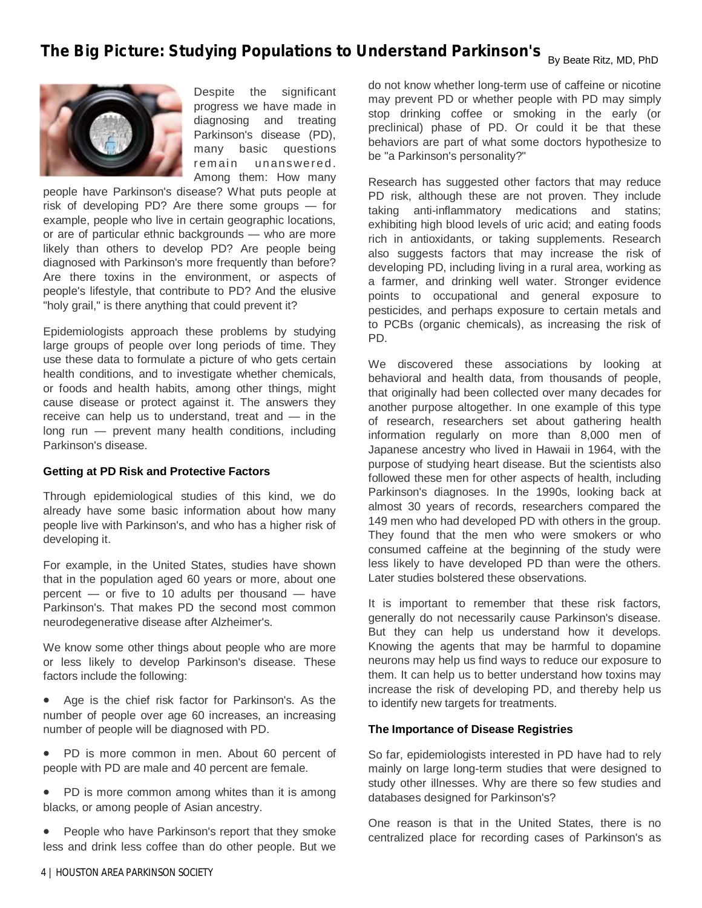## **The Big Picture: Studying Populations to Understand Parkinson's By Beate Ritz, MD, PhD**



Despite the significant progress we have made in diagnosing and treating Parkinson's disease (PD), many basic questions remain unanswered. Among them: How many

people have Parkinson's disease? What puts people at risk of developing PD? Are there some groups — for example, people who live in certain geographic locations, or are of particular ethnic backgrounds — who are more likely than others to develop PD? Are people being diagnosed with Parkinson's more frequently than before? Are there toxins in the environment, or aspects of people's lifestyle, that contribute to PD? And the elusive "holy grail," is there anything that could prevent it?

Epidemiologists approach these problems by studying large groups of people over long periods of time. They use these data to formulate a picture of who gets certain health conditions, and to investigate whether chemicals, or foods and health habits, among other things, might cause disease or protect against it. The answers they receive can help us to understand, treat and — in the long run — prevent many health conditions, including Parkinson's disease.

#### **Getting at PD Risk and Protective Factors**

Through epidemiological studies of this kind, we do already have some basic information about how many people live with Parkinson's, and who has a higher risk of developing it.

For example, in the United States, studies have shown that in the population aged 60 years or more, about one percent — or five to 10 adults per thousand — have Parkinson's. That makes PD the second most common neurodegenerative disease after Alzheimer's.

We know some other things about people who are more or less likely to develop Parkinson's disease. These factors include the following:

 Age is the chief risk factor for Parkinson's. As the number of people over age 60 increases, an increasing number of people will be diagnosed with PD.

PD is more common in men. About 60 percent of people with PD are male and 40 percent are female.

 PD is more common among whites than it is among blacks, or among people of Asian ancestry.

 People who have Parkinson's report that they smoke less and drink less coffee than do other people. But we

do not know whether long-term use of caffeine or nicotine may prevent PD or whether people with PD may simply stop drinking coffee or smoking in the early (or preclinical) phase of PD. Or could it be that these behaviors are part of what some doctors hypothesize to be "a Parkinson's personality?"

Research has suggested other factors that may reduce PD risk, although these are not proven. They include taking anti-inflammatory medications and statins; exhibiting high blood levels of uric acid; and eating foods rich in antioxidants, or taking supplements. Research also suggests factors that may increase the risk of developing PD, including living in a rural area, working as a farmer, and drinking well water. Stronger evidence points to occupational and general exposure to pesticides, and perhaps exposure to certain metals and to PCBs (organic chemicals), as increasing the risk of PD.

We discovered these associations by looking at behavioral and health data, from thousands of people, that originally had been collected over many decades for another purpose altogether. In one example of this type of research, researchers set about gathering health information regularly on more than 8,000 men of Japanese ancestry who lived in Hawaii in 1964, with the purpose of studying heart disease. But the scientists also followed these men for other aspects of health, including Parkinson's diagnoses. In the 1990s, looking back at almost 30 years of records, researchers compared the 149 men who had developed PD with others in the group. They found that the men who were smokers or who consumed caffeine at the beginning of the study were less likely to have developed PD than were the others. Later studies bolstered these observations.

It is important to remember that these risk factors, generally do not necessarily cause Parkinson's disease. But they can help us understand how it develops. Knowing the agents that may be harmful to dopamine neurons may help us find ways to reduce our exposure to them. It can help us to better understand how toxins may increase the risk of developing PD, and thereby help us to identify new targets for treatments.

#### **The Importance of Disease Registries**

So far, epidemiologists interested in PD have had to rely mainly on large long-term studies that were designed to study other illnesses. Why are there so few studies and databases designed for Parkinson's?

One reason is that in the United States, there is no centralized place for recording cases of Parkinson's as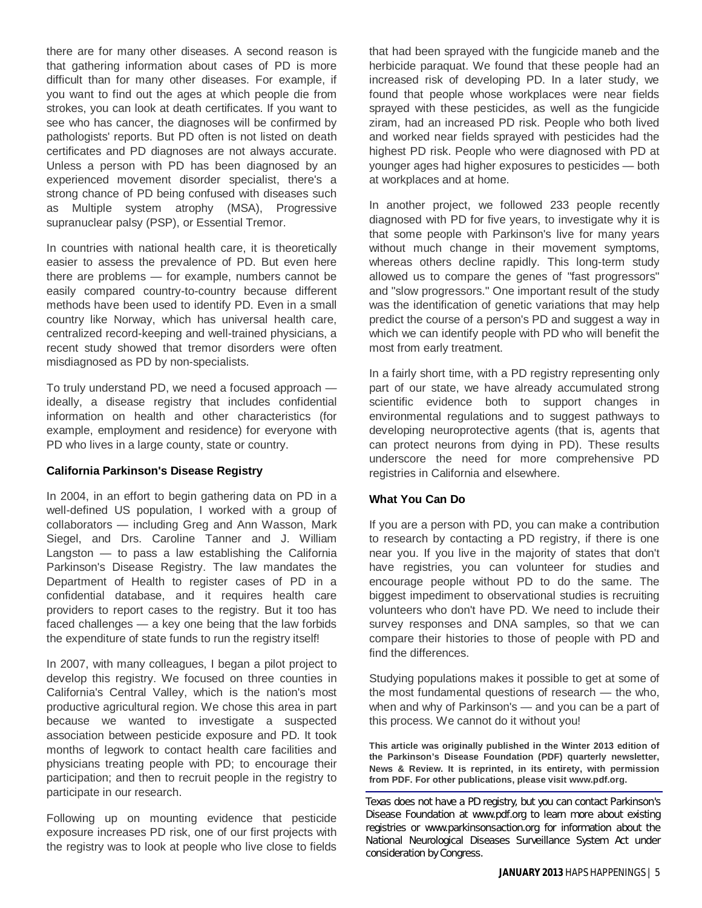there are for many other diseases. A second reason is that gathering information about cases of PD is more difficult than for many other diseases. For example, if you want to find out the ages at which people die from strokes, you can look at death certificates. If you want to see who has cancer, the diagnoses will be confirmed by pathologists' reports. But PD often is not listed on death certificates and PD diagnoses are not always accurate. Unless a person with PD has been diagnosed by an experienced movement disorder specialist, there's a strong chance of PD being confused with diseases such as Multiple system atrophy (MSA), Progressive supranuclear palsy (PSP), or Essential Tremor.

In countries with national health care, it is theoretically easier to assess the prevalence of PD. But even here there are problems — for example, numbers cannot be easily compared country-to-country because different methods have been used to identify PD. Even in a small country like Norway, which has universal health care, centralized record-keeping and well-trained physicians, a recent study showed that tremor disorders were often misdiagnosed as PD by non-specialists.

To truly understand PD, we need a focused approach ideally, a disease registry that includes confidential information on health and other characteristics (for example, employment and residence) for everyone with PD who lives in a large county, state or country.

#### **California Parkinson's Disease Registry**

In 2004, in an effort to begin gathering data on PD in a well-defined US population, I worked with a group of collaborators — including Greg and Ann Wasson, Mark Siegel, and Drs. Caroline Tanner and J. William Langston  $-$  to pass a law establishing the California Parkinson's Disease Registry. The law mandates the Department of Health to register cases of PD in a confidential database, and it requires health care providers to report cases to the registry. But it too has faced challenges — a key one being that the law forbids the expenditure of state funds to run the registry itself!

In 2007, with many colleagues, I began a pilot project to develop this registry. We focused on three counties in California's Central Valley, which is the nation's most productive agricultural region. We chose this area in part because we wanted to investigate a suspected association between pesticide exposure and PD. It took months of legwork to contact health care facilities and physicians treating people with PD; to encourage their participation; and then to recruit people in the registry to participate in our research.

Following up on mounting evidence that pesticide exposure increases PD risk, one of our first projects with the registry was to look at people who live close to fields

that had been sprayed with the fungicide maneb and the herbicide paraquat. We found that these people had an increased risk of developing PD. In a later study, we found that people whose workplaces were near fields sprayed with these pesticides, as well as the fungicide ziram, had an increased PD risk. People who both lived and worked near fields sprayed with pesticides had the highest PD risk. People who were diagnosed with PD at younger ages had higher exposures to pesticides — both at workplaces and at home.

In another project, we followed 233 people recently diagnosed with PD for five years, to investigate why it is that some people with Parkinson's live for many years without much change in their movement symptoms, whereas others decline rapidly. This long-term study allowed us to compare the genes of "fast progressors" and "slow progressors." One important result of the study was the identification of genetic variations that may help predict the course of a person's PD and suggest a way in which we can identify people with PD who will benefit the most from early treatment.

In a fairly short time, with a PD registry representing only part of our state, we have already accumulated strong scientific evidence both to support changes in environmental regulations and to suggest pathways to developing neuroprotective agents (that is, agents that can protect neurons from dying in PD). These results underscore the need for more comprehensive PD registries in California and elsewhere.

#### **What You Can Do**

If you are a person with PD, you can make a contribution to research by contacting a PD registry, if there is one near you. If you live in the majority of states that don't have registries, you can volunteer for studies and encourage people without PD to do the same. The biggest impediment to observational studies is recruiting volunteers who don't have PD. We need to include their survey responses and DNA samples, so that we can compare their histories to those of people with PD and find the differences.

Studying populations makes it possible to get at some of the most fundamental questions of research — the who, when and why of Parkinson's — and you can be a part of this process. We cannot do it without you!

**This article was originally published in the Winter 2013 edition of the Parkinson's Disease Foundation (PDF) quarterly newsletter, News & Review. It is reprinted, in its entirety, with permission from PDF. For other publications, please visit www.pdf.org.**

Texas does not have a PD registry, but you can contact Parkinson's Disease Foundation at www.pdf.org to learn more about existing registries or www.parkinsonsaction.org for information about the National Neurological Diseases Surveillance System Act under consideration by Congress.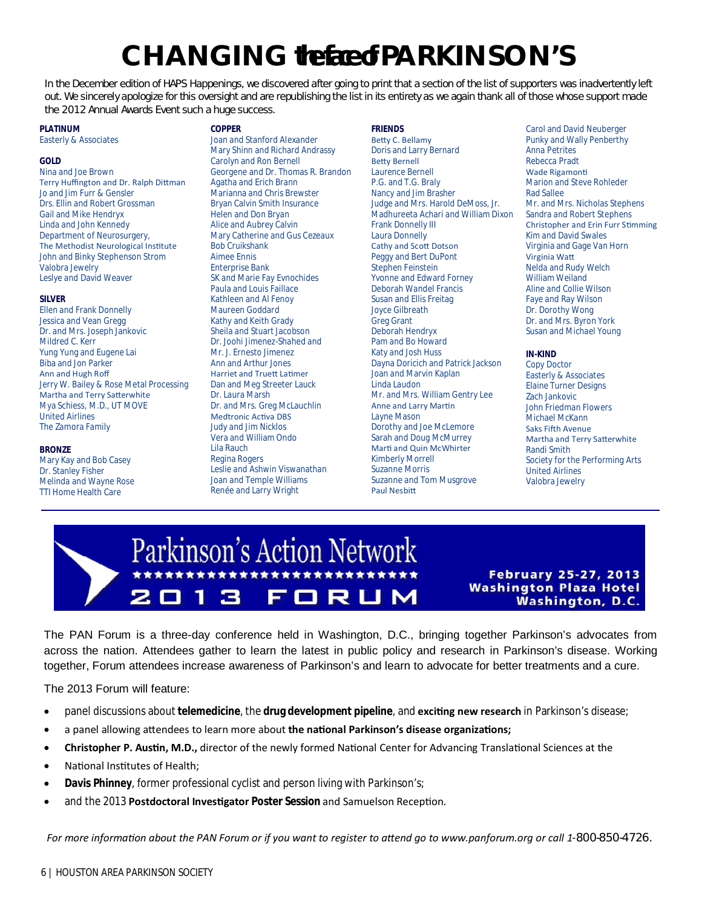## **CHANGING the face of PARKINSON'S**

In the December edition of HAPS Happenings, we discovered after going to print that a section of the list of supporters was inadvertently left out. We sincerely apologize for this oversight and are republishing the list in its entirety as we again thank all of those whose support made the 2012 Annual Awards Event such a huge success.

**FRIENDS**

#### **PLATINUM**

Easterly & Associates

#### **GOLD**

Nina and Joe Brown Terry Huffington and Dr. Ralph Dittman Jo and Jim Furr & Gensler Drs. Ellin and Robert Grossman Gail and Mike Hendryx Linda and John Kennedy Department of Neurosurgery, The Methodist Neurological Institute John and Binky Stephenson Strom Valobra Jewelry Leslye and David Weaver

#### **SILVER**

Ellen and Frank Donnelly Jessica and Vean Gregg Dr. and Mrs. Joseph Jankovic Mildred C. Kerr Yung Yung and Eugene Lai Biba and Jon Parker Ann and Hugh Roff Jerry W. Bailey & Rose Metal Processing Martha and Terry Satterwhite Mya Schiess, M.D., UT MOVE United Airlines The Zamora Family

#### **BRONZE**

Mary Kay and Bob Casey Dr. Stanley Fisher Melinda and Wayne Rose TTI Home Health Care

#### **COPPER**

Joan and Stanford Alexander Mary Shinn and Richard Andrassy Carolyn and Ron Bernell Georgene and Dr. Thomas R. Brandon Agatha and Erich Brann Marianna and Chris Brewster Bryan Calvin Smith Insurance Helen and Don Bryan Alice and Aubrey Calvin Mary Catherine and Gus Cezeaux Bob Cruikshank Aimee Ennis Enterprise Bank SK and Marie Fay Evnochides Paula and Louis Faillace Kathleen and Al Fenoy Maureen Goddard Kathy and Keith Grady Sheila and Stuart Jacobson Dr. Joohi Jimenez-Shahed and Mr. J. Ernesto Jimenez Ann and Arthur Jones Harriet and TrueƩ LaƟmer Dan and Meg Streeter Lauck Dr. Laura Marsh Dr. and Mrs. Greg McLauchlin Medtronic Activa DBS Judy and Jim Nicklos Vera and William Ondo Lila Rauch Regina Rogers Leslie and Ashwin Viswanathan Joan and Temple Williams Renée and Larry Wright

Betty C. Bellamy Doris and Larry Bernard **Betty Bernell** Laurence Bernell P.G. and T.G. Braly Nancy and Jim Brasher Judge and Mrs. Harold DeMoss, Jr. Madhureeta Achari and William Dixon Frank Donnelly III Laura Donnelly Cathy and ScoƩ Dotson Peggy and Bert DuPont Stephen Feinstein Yvonne and Edward Forney Deborah Wandel Francis Susan and Ellis Freitag Joyce Gilbreath Greg Grant Deborah Hendryx Pam and Bo Howard Katy and Josh Huss Dayna Doricich and Patrick Jackson Joan and Marvin Kaplan Linda Laudon Mr. and Mrs. William Gentry Lee **Anne and Larry Martin** Layne Mason Dorothy and Joe McLemore Sarah and Doug McMurrey Marti and Quin McWhirter Kimberly Morrell Suzanne Morris Suzanne and Tom Musgrove Paul Nesbitt

Carol and David Neuberger Punky and Wally Penberthy Anna Petrites Rebecca Pradt Wade Rigamonti Marion and Steve Rohleder Rad Sallee Mr. and Mrs. Nicholas Stephens Sandra and Robert Stephens Christopher and Erin Furr Stimming Kim and David Swales Virginia and Gage Van Horn Virginia WaƩ Nelda and Rudy Welch William Weiland Aline and Collie Wilson Faye and Ray Wilson Dr. Dorothy Wong Dr. and Mrs. Byron York Susan and Michael Young

#### **IN-KIND**

Copy Doctor Easterly & Associates Elaine Turner Designs Zach Jankovic John Friedman Flowers Michael McKann Saks Fifth Avenue Martha and Terry Satterwhite Randi Smith Society for the Performing Arts United Airlines Valobra Jewelry

## Parkinson's Action Network ORUM П **IG**

**February 25-27, 2013 Washington Plaza Hotel Washington, D.C.** 

The PAN Forum is a three-day conference held in Washington, D.C., bringing together Parkinson's advocates from across the nation. Attendees gather to learn the latest in public policy and research in Parkinson's disease. Working together, Forum attendees increase awareness of Parkinson's and learn to advocate for better treatments and a cure.

The 2013 Forum will feature:

- panel discussions about *telemedicine*, the *drug development pipeline*, and *exciting new research* in Parkinson's disease;
- a panel allowing attendees to learn more about the national Parkinson's disease organizations;
- **Christopher P. Austin, M.D.,** director of the newly formed National Center for Advancing Translational Sciences at the
- National Institutes of Health;
- **Davis Phinney**, former professional cyclist and person living with Parkinson's;
- and the 2013 **Postdoctoral Investigator Poster Session** and Samuelson Reception.

For more information about the PAN Forum or if you want to register to attend go to www.panforum.org or call 1-800-850-4726.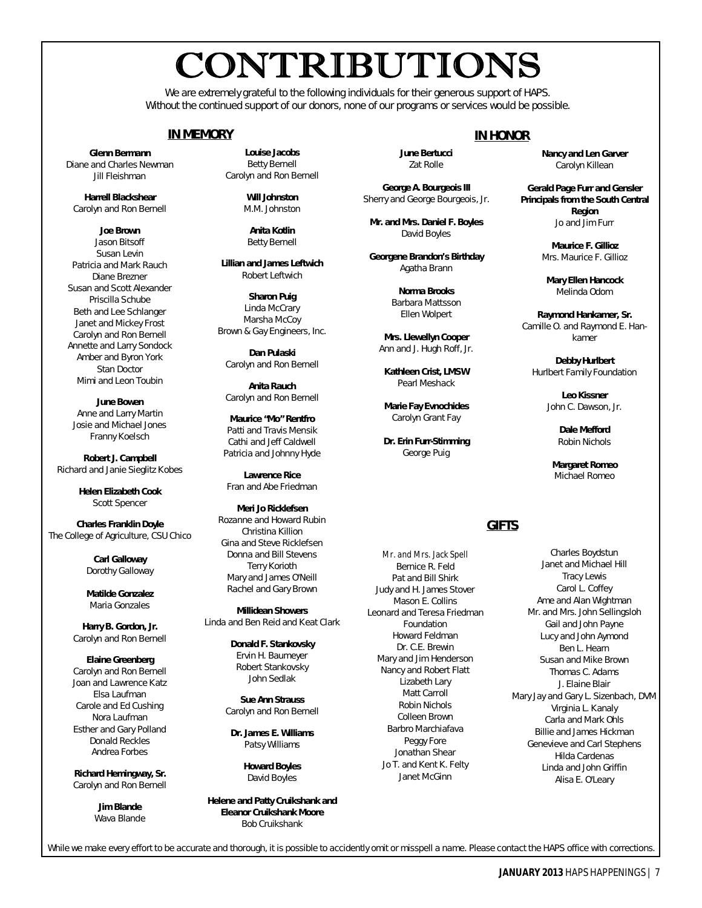# CONTRIBUTIONS

We are extremely grateful to the following individuals for their generous support of HAPS. Without the continued support of our donors, none of our programs or services would be possible.

#### **IN MEMORY**

**Glenn Bermann** Diane and Charles Newman Jill Fleishman

**Harrell Blackshear** Carolyn and Ron Bernell

**Joe Brown** Jason Bitsoff Susan Levin Patricia and Mark Rauch Diane Brezner Susan and Scott Alexander Priscilla Schube Beth and Lee Schlanger Janet and Mickey Frost Carolyn and Ron Bernell Annette and Larry Sondock Amber and Byron York Stan Doctor Mimi and Leon Toubin

**June Bowen** Anne and Larry Martin Josie and Michael Jones Franny Koelsch

**Robert J. Campbell** Richard and Janie Sieglitz Kobes

> **Helen Elizabeth Cook** Scott Spencer

**Charles Franklin Doyle** The College of Agriculture, CSU Chico

> **Carl Galloway** Dorothy Galloway

**Matilde Gonzalez** Maria Gonzales

**Harry B. Gordon, Jr.** Carolyn and Ron Bernell

**Elaine Greenberg** Carolyn and Ron Bernell Joan and Lawrence Katz Elsa Laufman Carole and Ed Cushing Nora Laufman Esther and Gary Polland Donald Reckles Andrea Forbes

**Richard Hemingway, Sr.** Carolyn and Ron Bernell

> **Jim Blande** Wava Blande

**Louise Jacobs** Betty Bernell Carolyn and Ron Bernell

> **Will Johnston** M.M. Johnston

**Anita Kotlin** Betty Bernell

**Lillian and James Leftwich** Robert Leftwich

**Sharon Puig** Linda McCrary Marsha McCoy Brown & Gay Engineers, Inc.

**Dan Pulaski** Carolyn and Ron Bernell

**Anita Rauch** Carolyn and Ron Bernell

**Maurice "Mo" Rentfro** Patti and Travis Mensik Cathi and Jeff Caldwell Patricia and Johnny Hyde

**Lawrence Rice** Fran and Abe Friedman

**Meri Jo Ricklefsen** Rozanne and Howard Rubin Christina Killion Gina and Steve Ricklefsen Donna and Bill Stevens Terry Korioth Mary and James O'Neill Rachel and Gary Brown

**Millidean Showers** Linda and Ben Reid and Keat Clark

> **Donald F. Stankovsky** Ervin H. Baumeyer Robert Stankovsky John Sedlak

**Sue Ann Strauss** Carolyn and Ron Bernell

**Dr. James E. Williams** Patsy Williams

> **Howard Boyles** David Boyles

**Helene and Patty Cruikshank and Eleanor Cruikshank Moore** Bob Cruikshank

While we make every effort to be accurate and thorough, it is possible to accidently omit or misspell a name. Please contact the *HAPS* office with corrections.

#### **IN HONOR**

**June Bertucci** Zat Rolle

**George A. Bourgeois III** Sherry and George Bourgeois, Jr.

**Mr. and Mrs. Daniel F. Boyles** David Boyles

**Georgene Brandon's Birthday** Agatha Brann

> **Norma Brooks** Barbara Mattsson Ellen Wolpert

**Mrs. Llewellyn Cooper** Ann and J. Hugh Roff, Jr.

**Kathleen Crist, LMSW** Pearl Meshack

**Marie Fay Evnochides** Carolyn Grant Fay

**Dr. Erin Furr-Stimming** George Puig

#### **GIFTS**

Mr. and Mrs. Jack Spell Bernice R. Feld Pat and Bill Shirk Judy and H. James Stover Mason E. Collins Leonard and Teresa Friedman Foundation Howard Feldman Dr. C.E. Brewin Mary and Jim Henderson Nancy and Robert Flatt Lizabeth Lary Matt Carroll Robin Nichols Colleen Brown Barbro Marchiafava Peggy Fore Jonathan Shear Jo T. and Kent K. Felty Janet McGinn

**Nancy and Len Garver** Carolyn Killean

**Gerald Page Furr and Gensler Principals from the South Central Region** Jo and Jim Furr

> **Maurice F. Gillioz** Mrs. Maurice F. Gillioz

**Mary Ellen Hancock** Melinda Odom

**Raymond Hankamer, Sr.** Camille O. and Raymond E. Hankamer

**Debby Hurlbert** Hurlbert Family Foundation

> **Leo Kissner** John C. Dawson, Jr.

> > **Dale Mefford** Robin Nichols

**Margaret Romeo** Michael Romeo

Charles Boydstun Janet and Michael Hill Tracy Lewis Carol L. Coffey Ame and Alan Wightman Mr. and Mrs. John Sellingsloh Gail and John Payne Lucy and John Aymond Ben L. Hearn Susan and Mike Brown Thomas C. Adams J. Elaine Blair Mary Jay and Gary L. Sizenbach, DVM Virginia L. Kanaly Carla and Mark Ohls Billie and James Hickman Genevieve and Carl Stephens Hilda Cardenas Linda and John Griffin Alisa E. O'Leary